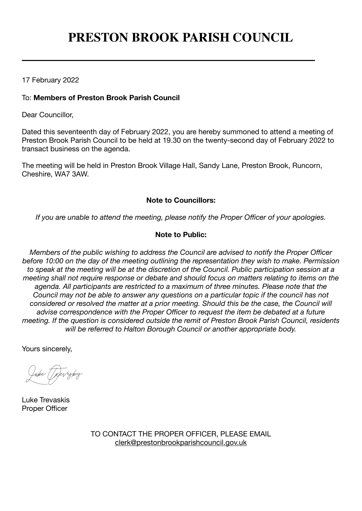# **PRESTON BROOK PARISH COUNCIL**

17 February 2022

# To: **Members of Preston Brook Parish Council**

Dear Councillor,

Dated this seventeenth day of February 2022, you are hereby summoned to attend a meeting of Preston Brook Parish Council to be held at 19.30 on the twenty-second day of February 2022 to transact business on the agenda.

The meeting will be held in Preston Brook Village Hall, Sandy Lane, Preston Brook, Runcorn, Cheshire, WA7 3AW.

# **Note to Councillors:**

*If you are unable to attend the meeting, please notify the Proper Officer of your apologies.*

# **Note to Public:**

*Members of the public wishing to address the Council are advised to notify the Proper Officer before 10:00 on the day of the meeting outlining the representation they wish to make. Permission to speak at the meeting will be at the discretion of the Council. Public participation session at a meeting shall not require response or debate and should focus on matters relating to items on the agenda. All participants are restricted to a maximum of three minutes. Please note that the Council may not be able to answer any questions on a particular topic if the council has not considered or resolved the matter at a prior meeting. Should this be the case, the Council will advise correspondence with the Proper Officer to request the item be debated at a future meeting. If the question is considered outside the remit of Preston Brook Parish Council, residents will be referred to Halton Borough Council or another appropriate body.*

Yours sincerely,

Luke Trevaskis Proper Officer

TO CONTACT THE PROPER OFFICER, PLEASE EMAIL [clerk@prestonbrookparishcouncil.gov.uk](mailto:clerk@prestonbrookparishcouncil.gov.uk)